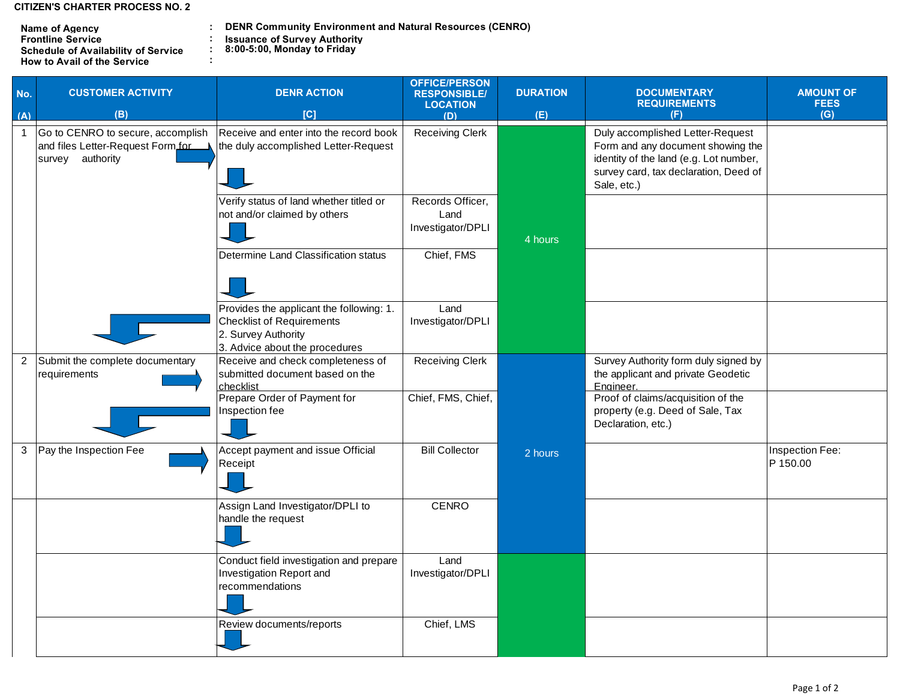**CITIZEN'S CHARTER PROCESS NO. 2**

| <b>Name of Agency</b>                      | <b>DENR Community Environn</b>     |
|--------------------------------------------|------------------------------------|
| <b>Frontline Service</b>                   | <b>Issuance of Survey Authorit</b> |
| <b>Schedule of Availability of Service</b> | 8:00-5:00, Monday to Friday        |
| <b>How to Avail of the Service</b>         |                                    |

**: NENR Community Environment and Natural Resources (CENRO)** 

**: Issuance of Survey Authority**

| No.            | <b>CUSTOMER ACTIVITY</b>                                                                   | <b>DENR ACTION</b>                                                                                                                    | <b>OFFICE/PERSON</b><br><b>RESPONSIBLE/</b><br><b>LOCATION</b> | <b>DURATION</b> | <b>DOCUMENTARY</b><br><b>REQUIREMENTS</b>                                                                                                                               | <b>AMOUNT OF</b><br><b>FEES</b> |
|----------------|--------------------------------------------------------------------------------------------|---------------------------------------------------------------------------------------------------------------------------------------|----------------------------------------------------------------|-----------------|-------------------------------------------------------------------------------------------------------------------------------------------------------------------------|---------------------------------|
| (A)            | (B)                                                                                        | [C]                                                                                                                                   | (D)                                                            | (E)             | (F)                                                                                                                                                                     | (G)                             |
| $\mathbf{1}$   | Go to CENRO to secure, accomplish<br>and files Letter-Request Form.for<br>survey authority | Receive and enter into the record book<br>the duly accomplished Letter-Request                                                        | <b>Receiving Clerk</b>                                         |                 | Duly accomplished Letter-Request<br>Form and any document showing the<br>identity of the land (e.g. Lot number,<br>survey card, tax declaration, Deed of<br>Sale, etc.) |                                 |
|                |                                                                                            | Verify status of land whether titled or<br>not and/or claimed by others                                                               | Records Officer,<br>Land<br>Investigator/DPLI                  | 4 hours         |                                                                                                                                                                         |                                 |
|                |                                                                                            | Determine Land Classification status                                                                                                  | Chief, FMS                                                     |                 |                                                                                                                                                                         |                                 |
|                |                                                                                            | Provides the applicant the following: 1.<br><b>Checklist of Requirements</b><br>2. Survey Authority<br>3. Advice about the procedures | Land<br>Investigator/DPLI                                      |                 |                                                                                                                                                                         |                                 |
| $\overline{2}$ | Submit the complete documentary<br>requirements                                            | Receive and check completeness of<br>submitted document based on the<br>checklist                                                     | <b>Receiving Clerk</b>                                         |                 | Survey Authority form duly signed by<br>the applicant and private Geodetic<br>Engineer.                                                                                 |                                 |
|                |                                                                                            | Prepare Order of Payment for<br>Inspection fee                                                                                        | Chief, FMS, Chief,                                             |                 | Proof of claims/acquisition of the<br>property (e.g. Deed of Sale, Tax<br>Declaration, etc.)                                                                            |                                 |
| 3              | Pay the Inspection Fee                                                                     | Accept payment and issue Official<br>Receipt                                                                                          | <b>Bill Collector</b>                                          | 2 hours         |                                                                                                                                                                         | Inspection Fee:<br>P 150.00     |
|                |                                                                                            | Assign Land Investigator/DPLI to<br>handle the request                                                                                | <b>CENRO</b>                                                   |                 |                                                                                                                                                                         |                                 |
|                |                                                                                            | Conduct field investigation and prepare<br>Investigation Report and<br>recommendations                                                | Land<br>Investigator/DPLI                                      |                 |                                                                                                                                                                         |                                 |
|                |                                                                                            | Review documents/reports                                                                                                              | Chief, LMS                                                     |                 |                                                                                                                                                                         |                                 |